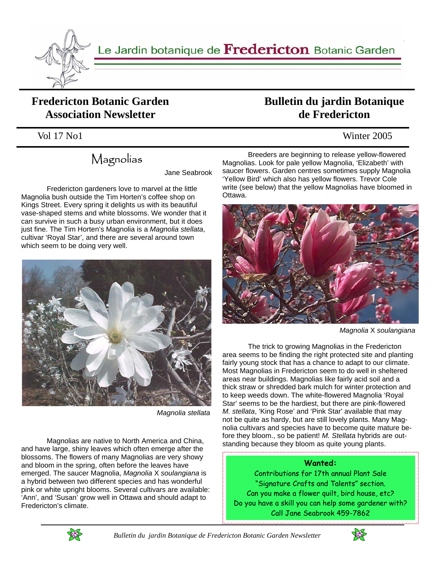

Le Jardin botanique de Fredericton Botanic Garden

#### **Fredericton Botanic Garden Association Newsletter**

# Magnolias

Jane Seabrook

 Fredericton gardeners love to marvel at the little Magnolia bush outside the Tim Horten's coffee shop on Kings Street. Every spring it delights us with its beautiful vase-shaped stems and white blossoms. We wonder that it can survive in such a busy urban environment, but it does just fine. The Tim Horten's Magnolia is a *Magnolia stellata*, cultivar 'Royal Star', and there are several around town which seem to be doing very well.



*Magnolia stellata*

 Magnolias are native to North America and China, and have large, shiny leaves which often emerge after the blossoms. The flowers of many Magnolias are very showy and bloom in the spring, often before the leaves have emerged. The saucer Magnolia, *Magnolia* X *soulangiana* is a hybrid between two different species and has wonderful pink or white upright blooms. Several cultivars are available: 'Ann', and 'Susan' grow well in Ottawa and should adapt to Fredericton's climate.

### **Bulletin du jardin Botanique de Fredericton**

#### Vol 17 No1 Winter 2005

 Breeders are beginning to release yellow-flowered Magnolias. Look for pale yellow Magnolia, 'Elizabeth' with saucer flowers. Garden centres sometimes supply Magnolia 'Yellow Bird' which also has yellow flowers. Trevor Cole write (see below) that the yellow Magnolias have bloomed in Ottawa.



*Magnolia* X *soulangiana*

 The trick to growing Magnolias in the Fredericton area seems to be finding the right protected site and planting fairly young stock that has a chance to adapt to our climate. Most Magnolias in Fredericton seem to do well in sheltered areas near buildings. Magnolias like fairly acid soil and a thick straw or shredded bark mulch for winter protection and to keep weeds down. The white-flowered Magnolia 'Royal Star' seems to be the hardiest, but there are pink-flowered *M. stellata*, 'King Rose' and 'Pink Star' available that may not be quite as hardy, but are still lovely plants. Many Magnolia cultivars and species have to become quite mature before they bloom., so be patient! *M. Stellata* hybrids are outstanding because they bloom as quite young plants.

#### **Wanted:**

Contributions for 17th annual Plant Sale "Signature Crafts and Talents" section. Can you make a flower quilt, bird house, etc? Do you have a skill you can help some gardener with? Call Jane Seabrook 459-7862



 *Bulletin du jardin Botanique de Fredericton Botanic Garden Newsletter* 

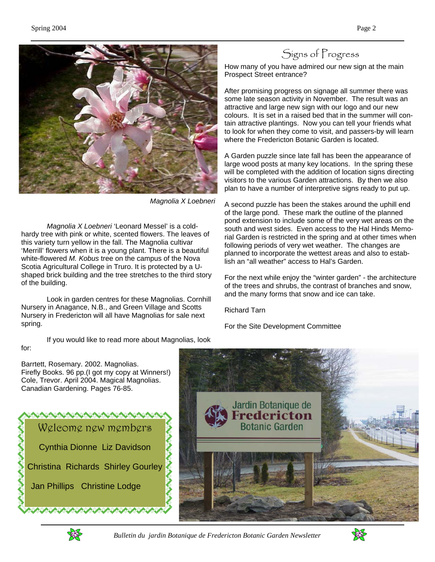

*Magnolia X Loebneri* 

 *Magnolia X Loebneri* 'Leonard Messel' is a coldhardy tree with pink or white, scented flowers. The leaves of this variety turn yellow in the fall. The Magnolia cultivar 'Merrill' flowers when it is a young plant. There is a beautiful white-flowered *M. Kobus* tree on the campus of the Nova Scotia Agricultural College in Truro. It is protected by a Ushaped brick building and the tree stretches to the third story of the building.

 Look in garden centres for these Magnolias. Cornhill Nursery in Anagance, N.B., and Green Village and Scotts Nursery in Fredericton will all have Magnolias for sale next spring.

If you would like to read more about Magnolias, look

#### for:

Signs of Progress

How many of you have admired our new sign at the main Prospect Street entrance?

After promising progress on signage all summer there was some late season activity in November. The result was an attractive and large new sign with our logo and our new colours. It is set in a raised bed that in the summer will contain attractive plantings. Now you can tell your friends what to look for when they come to visit, and passers-by will learn where the Fredericton Botanic Garden is located.

A Garden puzzle since late fall has been the appearance of large wood posts at many key locations. In the spring these will be completed with the addition of location signs directing visitors to the various Garden attractions. By then we also plan to have a number of interpretive signs ready to put up.

A second puzzle has been the stakes around the uphill end of the large pond. These mark the outline of the planned pond extension to include some of the very wet areas on the south and west sides. Even access to the Hal Hinds Memorial Garden is restricted in the spring and at other times when following periods of very wet weather. The changes are planned to incorporate the wettest areas and also to establish an "all weather" access to Hal's Garden.

For the next while enjoy the "winter garden" - the architecture of the trees and shrubs, the contrast of branches and snow, and the many forms that snow and ice can take.

Richard Tarn

For the Site Development Committee

Barrtett, Rosemary. 2002. Magnolias. Firefly Books. 96 pp.(I got my copy at Winners!) Cole, Trevor. April 2004. Magical Magnolias. Canadian Gardening. Pages 76-85.







 *Bulletin du jardin Botanique de Fredericton Botanic Garden Newsletter* 

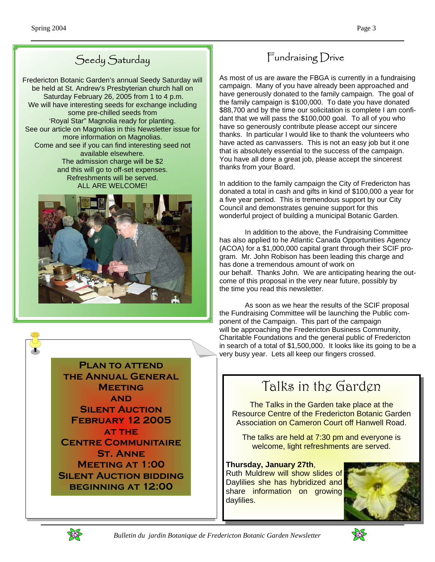## Seedy Saturday

Fredericton Botanic Garden's annual Seedy Saturday will be held at St. Andrew's Presbyterian church hall on Saturday February 26, 2005 from 1 to 4 p.m. We will have interesting seeds for exchange including some pre-chilled seeds from 'Royal Star" Magnolia ready for planting. See our article on Magnolias in this Newsletter issue for more information on Magnolias. Come and see if you can find interesting seed not available elsewhere. The admission charge will be \$2 and this will go to off-set expenses. Refreshments will be served. ALL ARE WELCOME!



**Plan to attend the Annual General Meeting and Silent Auction February 12 2005 at the Centre Communitaire St. Anne Meeting at 1:00 Silent Auction bidding beginning at 12:00** 

## Fundraising Drive

As most of us are aware the FBGA is currently in a fundraising campaign. Many of you have already been approached and have generously donated to the family campaign. The goal of the family campaign is \$100,000. To date you have donated \$88,700 and by the time our solicitation is complete I am confidant that we will pass the \$100,000 goal. To all of you who have so generously contribute please accept our sincere thanks. In particular I would like to thank the volunteers who have acted as canvassers. This is not an easy job but it one that is absolutely essential to the success of the campaign. You have all done a great job, please accept the sincerest thanks from your Board.

In addition to the family campaign the City of Fredericton has donated a total in cash and gifts in kind of \$100,000 a year for a five year period. This is tremendous support by our City Council and demonstrates genuine support for this wonderful project of building a municipal Botanic Garden.

 In addition to the above, the Fundraising Committee has also applied to he Atlantic Canada Opportunities Agency (ACOA) for a \$1,000,000 capital grant through their SCIF program. Mr. John Robison has been leading this charge and has done a tremendous amount of work on our behalf. Thanks John. We are anticipating hearing the outcome of this proposal in the very near future, possibly by the time you read this newsletter.

 As soon as we hear the results of the SCIF proposal the Fundraising Committee will be launching the Public component of the Campaign. This part of the campaign will be approaching the Fredericton Business Community, Charitable Foundations and the general public of Fredericton in search of a total of \$1,500,000. It looks like its going to be a very busy year. Lets all keep our fingers crossed.

# Talks in the Garden

The Talks in the Garden take place at the Resource Centre of the Fredericton Botanic Garden Association on Cameron Court off Hanwell Road.

The talks are held at 7:30 pm and everyone is welcome, light refreshments are served.

#### **Thursday, January 27th**,

Ruth Muldrew will show slides of Daylilies she has hybridized and share information on growing daylilies.